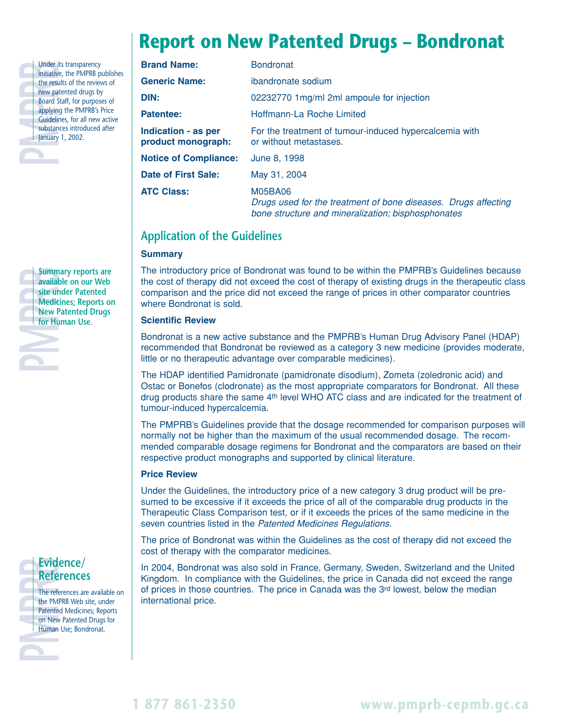## **Report on New Patented Drugs – Bondronat**

| <b>Brand Name:</b>                               | <b>Bondronat</b>                                                                                                                       |  |  |
|--------------------------------------------------|----------------------------------------------------------------------------------------------------------------------------------------|--|--|
| <b>Generic Name:</b>                             | ibandronate sodium                                                                                                                     |  |  |
| DIN:                                             | 02232770 1mg/ml 2ml ampoule for injection                                                                                              |  |  |
| Patentee:                                        | Hoffmann-La Roche Limited                                                                                                              |  |  |
| <b>Indication - as per</b><br>product monograph: | For the treatment of tumour-induced hypercalcemia with<br>or without metastases.                                                       |  |  |
| <b>Notice of Compliance:</b>                     | June 8, 1998                                                                                                                           |  |  |
| Date of First Sale:                              | May 31, 2004                                                                                                                           |  |  |
| <b>ATC Class:</b>                                | <b>M05BA06</b><br>Drugs used for the treatment of bone diseases. Drugs affecting<br>bone structure and mineralization; bisphosphonates |  |  |

### **Application of the Guidelines**

#### **Summary**

The introductory price of Bondronat was found to be within the PMPRB's Guidelines because the cost of therapy did not exceed the cost of therapy of existing drugs in the therapeutic class comparison and the price did not exceed the range of prices in other comparator countries where Bondronat is sold.

#### **Scientific Review**

Bondronat is a new active substance and the PMPRB's Human Drug Advisory Panel (HDAP) recommended that Bondronat be reviewed as a category 3 new medicine (provides moderate, little or no therapeutic advantage over comparable medicines).

The HDAP identified Pamidronate (pamidronate disodium), Zometa (zoledronic acid) and Ostac or Bonefos (clodronate) as the most appropriate comparators for Bondronat. All these drug products share the same 4th level WHO ATC class and are indicated for the treatment of tumour-induced hypercalcemia.

The PMPRB's Guidelines provide that the dosage recommended for comparison purposes will normally not be higher than the maximum of the usual recommended dosage. The recommended comparable dosage regimens for Bondronat and the comparators are based on their respective product monographs and supported by clinical literature.

#### **Price Review**

Under the Guidelines, the introductory price of a new category 3 drug product will be presumed to be excessive if it exceeds the price of all of the comparable drug products in the Therapeutic Class Comparison test, or if it exceeds the prices of the same medicine in the seven countries listed in the Patented Medicines Regulations.

The price of Bondronat was within the Guidelines as the cost of therapy did not exceed the cost of therapy with the comparator medicines.

In 2004, Bondronat was also sold in France, Germany, Sweden, Switzerland and the United Kingdom. In compliance with the Guidelines, the price in Canada did not exceed the range of prices in those countries. The price in Canada was the 3rd lowest, below the median international price.



Under its transparency<br>initiative, the PMPRB pu<br>the results of the review<br>new patented drugs by<br>Board Staff, for purpose<br>applying the PMPRB's F<br>Guidelines, for all new<br>substances introduced<br>January 1, 2002.

**January 1, 2002.** 

initiative, the PMPRB publishes the results of the reviews of new patented drugs by **Board Staff, for purposes of** applying the PMPRB's Price Guidelines, for all new active substances introduced after

# **References**

**PMPRB**<br> **PMPRB**<br> **PMPRB**<br> **PMPRB**<br> **PMPRB**<br> **PMPRB**<br> **PMPRB**<br> **PMPRB**<br> **PMPRB**<br> **PMPRB**<br> **PMPRB**<br> **PMPRB**<br> **PMPRB**<br> **PMPRB**<br> **PMPRB**<br> **PMPRB**<br> **PMPRB**<br> **PMPRB**<br> **PMPRB**<br> **PMPRB** The references are available on the PMPRB Web site, under Patented Medicines; Reports on New Patented Drugs for Human Use; Bondronat.